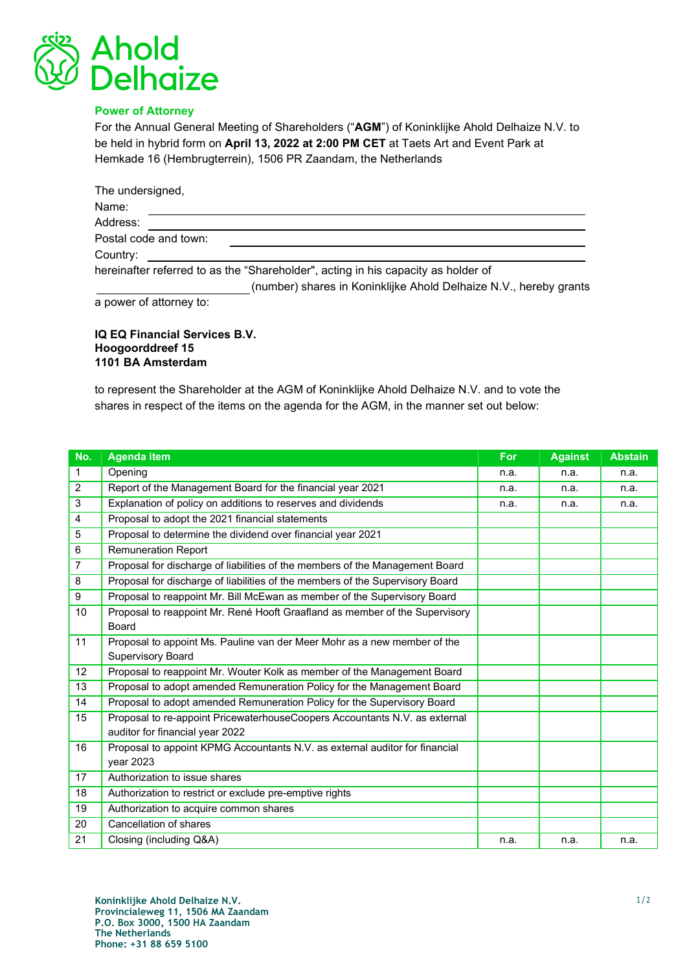

## Power of Attorney

For the Annual General Meeting of Shareholders ("AGM") of Koninklijke Ahold Delhaize N.V. to be held in hybrid form on April 13, 2022 at 2:00 PM CET at Taets Art and Event Park at Hemkade 16 (Hembrugterrein), 1506 PR Zaandam, the Netherlands

| The undersigned,      |                                                                                   |
|-----------------------|-----------------------------------------------------------------------------------|
| Name:                 |                                                                                   |
| Address:              |                                                                                   |
| Postal code and town: |                                                                                   |
| Country:              |                                                                                   |
|                       | hereinafter referred to as the "Shareholder", acting in his capacity as holder of |
|                       | (number) shares in Koninklijke Ahold Delhaize N.V., hereby grants                 |

a power of attorney to:

## IQ EQ Financial Services B.V. Hoogoorddreef 15 1101 BA Amsterdam

to represent the Shareholder at the AGM of Koninklijke Ahold Delhaize N.V. and to vote the shares in respect of the items on the agenda for the AGM, in the manner set out below:

| No.            | <b>Agenda item</b>                                                            | <b>For</b> | <b>Against</b> | <b>Abstain</b> |
|----------------|-------------------------------------------------------------------------------|------------|----------------|----------------|
| 1              | Opening                                                                       | n.a.       | n.a.           | n.a.           |
| 2              | Report of the Management Board for the financial year 2021                    | n.a.       | n.a.           | n.a.           |
| 3              | Explanation of policy on additions to reserves and dividends                  | n.a.       | n.a.           | n.a.           |
| 4              | Proposal to adopt the 2021 financial statements                               |            |                |                |
| 5              | Proposal to determine the dividend over financial year 2021                   |            |                |                |
| 6              | <b>Remuneration Report</b>                                                    |            |                |                |
| $\overline{7}$ | Proposal for discharge of liabilities of the members of the Management Board  |            |                |                |
| 8              | Proposal for discharge of liabilities of the members of the Supervisory Board |            |                |                |
| 9              | Proposal to reappoint Mr. Bill McEwan as member of the Supervisory Board      |            |                |                |
| 10             | Proposal to reappoint Mr. René Hooft Graafland as member of the Supervisory   |            |                |                |
|                | <b>Board</b>                                                                  |            |                |                |
| 11             | Proposal to appoint Ms. Pauline van der Meer Mohr as a new member of the      |            |                |                |
|                | Supervisory Board                                                             |            |                |                |
| 12             | Proposal to reappoint Mr. Wouter Kolk as member of the Management Board       |            |                |                |
| 13             | Proposal to adopt amended Remuneration Policy for the Management Board        |            |                |                |
| 14             | Proposal to adopt amended Remuneration Policy for the Supervisory Board       |            |                |                |
| 15             | Proposal to re-appoint PricewaterhouseCoopers Accountants N.V. as external    |            |                |                |
|                | auditor for financial year 2022                                               |            |                |                |
| 16             | Proposal to appoint KPMG Accountants N.V. as external auditor for financial   |            |                |                |
|                | year 2023                                                                     |            |                |                |
| 17             | Authorization to issue shares                                                 |            |                |                |
| 18             | Authorization to restrict or exclude pre-emptive rights                       |            |                |                |
| 19             | Authorization to acquire common shares                                        |            |                |                |
| 20             | Cancellation of shares                                                        |            |                |                |
| 21             | Closing (including Q&A)                                                       | n.a.       | n.a.           | n.a.           |